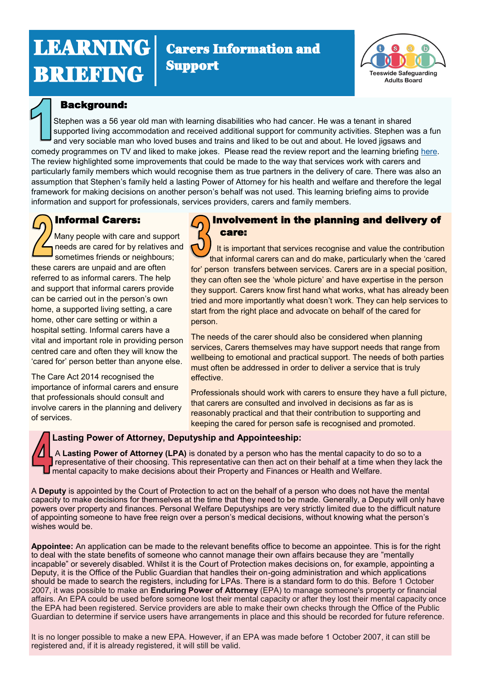# LEARNING **BRIEFING**





### Background:

Stephen was a 56 year old man with learning disabilities who had cancer. He was a tenant in shared supported living accommodation and received additional support for community activities. Stephen was a fun and very sociable man who loved buses and trains and liked to be out and about. He loved jigsaws and comedy programmes on TV and liked to make jokes. Please read the review report and the learning briefing [here.](https://www.tsab.org.uk/professionals/safeguarding-adult-review-sar-reports/) The review highlighted some improvements that could be made to the way that services work with carers and particularly family members which would recognise them as true partners in the delivery of care. There was also an assumption that Stephen's family held a lasting Power of Attorney for his health and welfare and therefore the legal framework for making decisions on another person's behalf was not used. This learning briefing aims to provide information and support for professionals, services providers, carers and family members.

# Informal Carers:

Many people with care and support needs are cared for by relatives and sometimes friends or neighbours; these carers are unpaid and are often referred to as informal carers. The help and support that informal carers provide can be carried out in the person's own home, a supported living setting, a care home, other care setting or within a hospital setting. Informal carers have a vital and important role in providing person centred care and often they will know the 'cared for' person better than anyone else.

The Care Act 2014 recognised the importance of informal carers and ensure that professionals should consult and involve carers in the planning and delivery of services.



# Involvement in the planning and delivery of care:

 It is important that services recognise and value the contribution that informal carers can and do make, particularly when the 'cared for' person transfers between services. Carers are in a special position, they can often see the 'whole picture' and have expertise in the person they support. Carers know first hand what works, what has already been tried and more importantly what doesn't work. They can help services to start from the right place and advocate on behalf of the cared for person.

The needs of the carer should also be considered when planning services, Carers themselves may have support needs that range from wellbeing to emotional and practical support. The needs of both parties must often be addressed in order to deliver a service that is truly effective.

Professionals should work with carers to ensure they have a full picture, that carers are consulted and involved in decisions as far as is reasonably practical and that their contribution to supporting and keeping the cared for person safe is recognised and promoted.

#### **Lasting Power of Attorney, Deputyship and Appointeeship:**

A **Lasting Power of Attorney (LPA)** is donated by a person who has the mental capacity to do so to a representative of their choosing. This representative can then act on their behalf at a time when they lack the mental capacity to make decisions about their Property and Finances or Health and Welfare.

A **Deputy** is appointed by the Court of Protection to act on the behalf of a person who does not have the mental capacity to make decisions for themselves at the time that they need to be made. Generally, a Deputy will only have powers over property and finances. Personal Welfare Deputyships are very strictly limited due to the difficult nature of appointing someone to have free reign over a person's medical decisions, without knowing what the person's wishes would be.

**Appointee:** An application can be made to the relevant benefits office to become an appointee. This is for the right to deal with the state benefits of someone who cannot manage their own affairs because they are "mentally incapable" or severely disabled. Whilst it is the Court of Protection makes decisions on, for example, appointing a Deputy, it is the Office of the Public Guardian that handles their on-going administration and which applications should be made to search the registers, including for LPAs. There is a standard form to do this. Before 1 October 2007, it was possible to make an **Enduring Power of Attorney** (EPA) to manage someone's property or financial affairs. An EPA could be used before someone lost their mental capacity or after they lost their mental capacity once the EPA had been registered. Service providers are able to make their own checks through the Office of the Public Guardian to determine if service users have arrangements in place and this should be recorded for future reference.

It is no longer possible to make a new EPA. However, if an EPA was made before 1 October 2007, it can still be registered and, if it is already registered, it will still be valid.